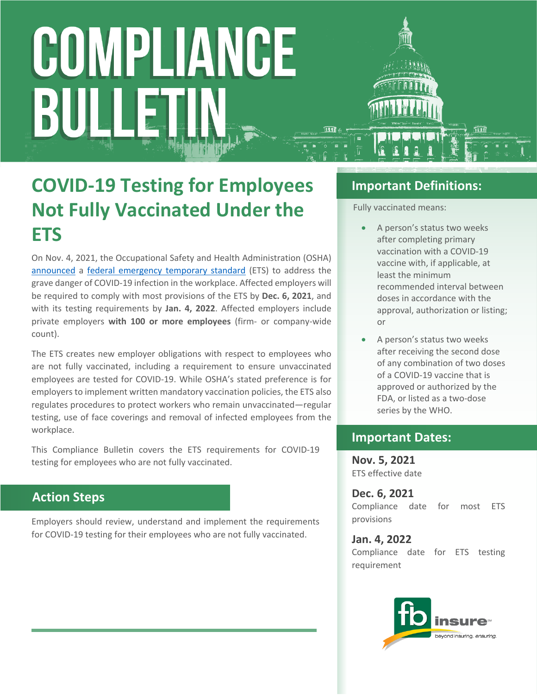# COMPLIANCE BULI

### **COVID-19 Testing for Employees Not Fully Vaccinated Under the ETS**

On Nov. 4, 2021, the Occupational Safety and Health Administration (OSHA) [announced](https://www.osha.gov/news/newsreleases/national/11042021) a [federal emergency temporary standard](https://www.federalregister.gov/public-inspection/2021-23643/covid-19-vaccination-and-testing-emergency-temporary-standard) (ETS) to address the grave danger of COVID-19 infection in the workplace. Affected employers will be required to comply with most provisions of the ETS by **Dec. 6, 2021**, and with its testing requirements by **Jan. 4, 2022**. Affected employers include private employers **with 100 or more employees** (firm- or company-wide count).

The ETS creates new employer obligations with respect to employees who are not fully vaccinated, including a requirement to ensure unvaccinated employees are tested for COVID-19. While OSHA's stated preference is for employers to implement written mandatory vaccination policies, the ETS also regulates procedures to protect workers who remain unvaccinated—regular testing, use of face coverings and removal of infected employees from the workplace.

This Compliance Bulletin covers the ETS requirements for COVID-19 testing for employees who are not fully vaccinated.

#### **Action Steps**

Employers should review, understand and implement the requirements for COVID-19 testing for their employees who are not fully vaccinated.

#### **Important Definitions:**

Fully vaccinated means:

- A person's status two weeks after completing primary vaccination with a COVID-19 vaccine with, if applicable, at least the minimum recommended interval between doses in accordance with the approval, authorization or listing; or
- A person's status two weeks after receiving the second dose of any combination of two doses of a COVID-19 vaccine that is approved or authorized by the FDA, or listed as a two-dose series by the WHO.

#### **Important Dates:**

**Nov. 5, 2021** ETS effective date

**Dec. 6, 2021** Compliance date for most ETS provisions

**Jan. 4, 2022** Compliance date for ETS testing requirement

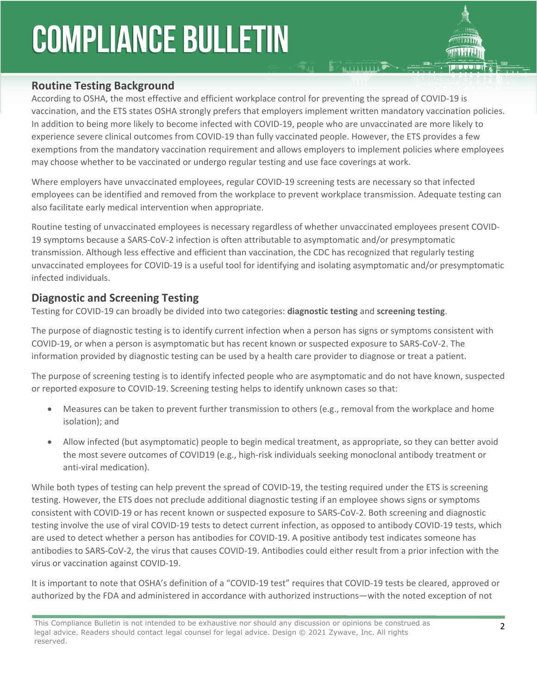#### **Routine Testing Background**

According to OSHA, the most effective and efficient workplace control for preventing the spread of COVID-19 is vaccination, and the ETS states OSHA strongly prefers that employers implement written mandatory vaccination policies. In addition to being more likely to become infected with COVID-19, people who are unvaccinated are more likely to experience severe clinical outcomes from COVID-19 than fully vaccinated people. However, the ETS provides a few exemptions from the mandatory vaccination requirement and allows employers to implement policies where employees may choose whether to be vaccinated or undergo regular testing and use face coverings at work.

**E MAIL LIBRARY** 

Where employers have unvaccinated employees, regular COVID-19 screening tests are necessary so that infected employees can be identified and removed from the workplace to prevent workplace transmission. Adequate testing can also facilitate early medical intervention when appropriate.

Routine testing of unvaccinated employees is necessary regardless of whether unvaccinated employees present COVID-19 symptoms because a SARS-CoV-2 infection is often attributable to asymptomatic and/or presymptomatic transmission. Although less effective and efficient than vaccination, the CDC has recognized that regularly testing unvaccinated employees for COVID-19 is a useful tool for identifying and isolating asymptomatic and/or presymptomatic infected individuals.

#### **Diagnostic and Screening Testing**

Testing for COVID-19 can broadly be divided into two categories: **diagnostic testing** and **screening testing**.

The purpose of diagnostic testing is to identify current infection when a person has signs or symptoms consistent with COVID-19, or when a person is asymptomatic but has recent known or suspected exposure to SARS-CoV-2. The information provided by diagnostic testing can be used by a health care provider to diagnose or treat a patient.

The purpose of screening testing is to identify infected people who are asymptomatic and do not have known, suspected or reported exposure to COVID-19. Screening testing helps to identify unknown cases so that:

- Measures can be taken to prevent further transmission to others (e.g., removal from the workplace and home isolation); and
- Allow infected (but asymptomatic) people to begin medical treatment, as appropriate, so they can better avoid the most severe outcomes of COVID19 (e.g., high-risk individuals seeking monoclonal antibody treatment or anti-viral medication).

While both types of testing can help prevent the spread of COVID-19, the testing required under the ETS is screening testing. However, the ETS does not preclude additional diagnostic testing if an employee shows signs or symptoms consistent with COVID-19 or has recent known or suspected exposure to SARS-CoV-2. Both screening and diagnostic testing involve the use of viral COVID-19 tests to detect current infection, as opposed to antibody COVID-19 tests, which are used to detect whether a person has antibodies for COVID-19. A positive antibody test indicates someone has antibodies to SARS-CoV-2, the virus that causes COVID-19. Antibodies could either result from a prior infection with the virus or vaccination against COVID-19.

It is important to note that OSHA's definition of a "COVID-19 test" requires that COVID-19 tests be cleared, approved or authorized by the FDA and administered in accordance with authorized instructions—with the noted exception of not

This Compliance Bulletin is not intended to be exhaustive nor should any discussion or opinions be construed as legal advice. Readers should contact legal counsel for legal advice. Design © 2021 Zywave, Inc. All rights reserved.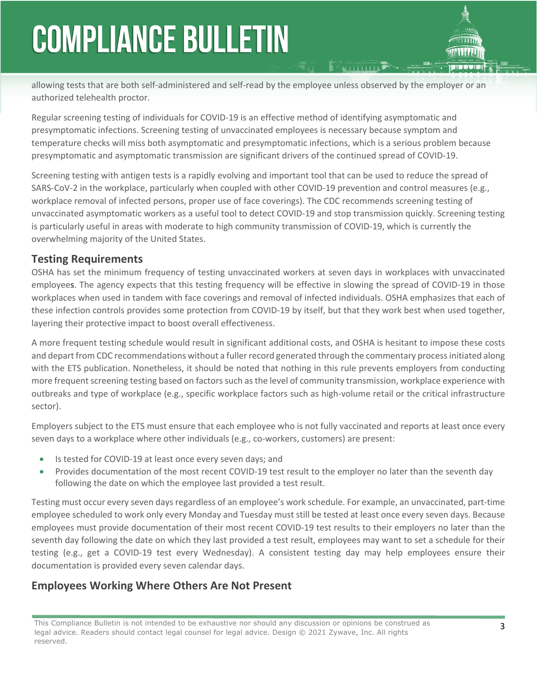allowing tests that are both self-administered and self-read by the employee unless observed by the employer or an authorized telehealth proctor.

Regular screening testing of individuals for COVID-19 is an effective method of identifying asymptomatic and presymptomatic infections. Screening testing of unvaccinated employees is necessary because symptom and temperature checks will miss both asymptomatic and presymptomatic infections, which is a serious problem because presymptomatic and asymptomatic transmission are significant drivers of the continued spread of COVID-19.

Screening testing with antigen tests is a rapidly evolving and important tool that can be used to reduce the spread of SARS-CoV-2 in the workplace, particularly when coupled with other COVID-19 prevention and control measures (e.g., workplace removal of infected persons, proper use of face coverings). The CDC recommends screening testing of unvaccinated asymptomatic workers as a useful tool to detect COVID-19 and stop transmission quickly. Screening testing is particularly useful in areas with moderate to high community transmission of COVID-19, which is currently the overwhelming majority of the United States.

#### **Testing Requirements**

OSHA has set the minimum frequency of testing unvaccinated workers at seven days in workplaces with unvaccinated employee**s**. The agency expects that this testing frequency will be effective in slowing the spread of COVID-19 in those workplaces when used in tandem with face coverings and removal of infected individuals. OSHA emphasizes that each of these infection controls provides some protection from COVID-19 by itself, but that they work best when used together, layering their protective impact to boost overall effectiveness.

A more frequent testing schedule would result in significant additional costs, and OSHA is hesitant to impose these costs and depart from CDC recommendations without a fuller record generated through the commentary process initiated along with the ETS publication. Nonetheless, it should be noted that nothing in this rule prevents employers from conducting more frequent screening testing based on factors such as the level of community transmission, workplace experience with outbreaks and type of workplace (e.g., specific workplace factors such as high-volume retail or the critical infrastructure sector).

Employers subject to the ETS must ensure that each employee who is not fully vaccinated and reports at least once every seven days to a workplace where other individuals (e.g., co-workers, customers) are present:

- Is tested for COVID-19 at least once every seven days; and
- Provides documentation of the most recent COVID-19 test result to the employer no later than the seventh day following the date on which the employee last provided a test result.

Testing must occur every seven days regardless of an employee's work schedule. For example, an unvaccinated, part-time employee scheduled to work only every Monday and Tuesday must still be tested at least once every seven days. Because employees must provide documentation of their most recent COVID-19 test results to their employers no later than the seventh day following the date on which they last provided a test result, employees may want to set a schedule for their testing (e.g., get a COVID-19 test every Wednesday). A consistent testing day may help employees ensure their documentation is provided every seven calendar days.

#### **Employees Working Where Others Are Not Present**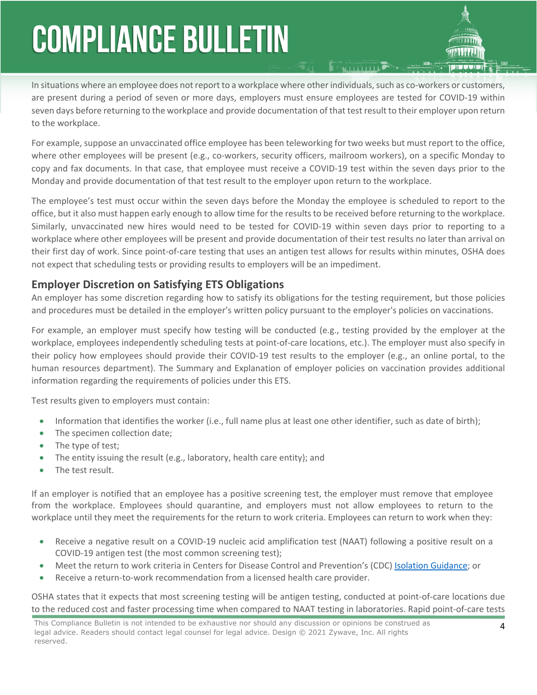In situations where an employee does not report to a workplace where other individuals, such as co-workers or customers, are present during a period of seven or more days, employers must ensure employees are tested for COVID-19 within seven days before returning to the workplace and provide documentation of that test result to their employer upon return to the workplace.

For example, suppose an unvaccinated office employee has been teleworking for two weeks but must report to the office, where other employees will be present (e.g., co-workers, security officers, mailroom workers), on a specific Monday to copy and fax documents. In that case, that employee must receive a COVID-19 test within the seven days prior to the Monday and provide documentation of that test result to the employer upon return to the workplace.

The employee's test must occur within the seven days before the Monday the employee is scheduled to report to the office, but it also must happen early enough to allow time for the results to be received before returning to the workplace. Similarly, unvaccinated new hires would need to be tested for COVID-19 within seven days prior to reporting to a workplace where other employees will be present and provide documentation of their test results no later than arrival on their first day of work. Since point-of-care testing that uses an antigen test allows for results within minutes, OSHA does not expect that scheduling tests or providing results to employers will be an impediment.

#### **Employer Discretion on Satisfying ETS Obligations**

An employer has some discretion regarding how to satisfy its obligations for the testing requirement, but those policies and procedures must be detailed in the employer's written policy pursuant to the employer's policies on vaccinations.

For example, an employer must specify how testing will be conducted (e.g., testing provided by the employer at the workplace, employees independently scheduling tests at point-of-care locations, etc.). The employer must also specify in their policy how employees should provide their COVID-19 test results to the employer (e.g., an online portal, to the human resources department). The Summary and Explanation of employer policies on vaccination provides additional information regarding the requirements of policies under this ETS.

Test results given to employers must contain:

- Information that identifies the worker (i.e., full name plus at least one other identifier, such as date of birth);
- The specimen collection date;
- The type of test;
- The entity issuing the result (e.g., laboratory, health care entity); and
- The test result.

If an employer is notified that an employee has a positive screening test, the employer must remove that employee from the workplace. Employees should quarantine, and employers must not allow employees to return to the workplace until they meet the requirements for the return to work criteria. Employees can return to work when they:

- Receive a negative result on a COVID-19 nucleic acid amplification test (NAAT) following a positive result on a COVID-19 antigen test (the most common screening test);
- Meet the return to work criteria in Centers for Disease Control and Prevention's (CDC) [Isolation Guidance](https://www.cdc.gov/coronavirus/2019-ncov/your-health/quarantine-isolation.html); or
- Receive a return-to-work recommendation from a licensed health care provider.

OSHA states that it expects that most screening testing will be antigen testing, conducted at point-of-care locations due to the reduced cost and faster processing time when compared to NAAT testing in laboratories. Rapid point-of-care tests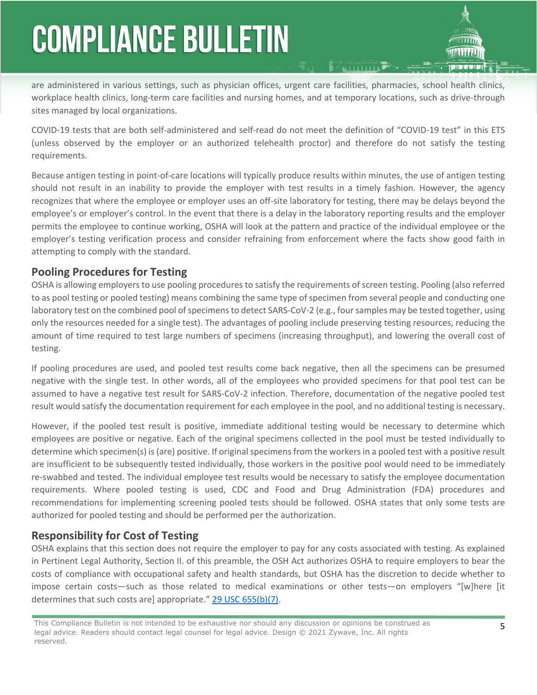are administered in various settings, such as physician offices, urgent care facilities, pharmacies, school health clinics, workplace health clinics, long-term care facilities and nursing homes, and at temporary locations, such as drive-through sites managed by local organizations.

COVID-19 tests that are both self-administered and self-read do not meet the definition of "COVID-19 test" in this ETS (unless observed by the employer or an authorized telehealth proctor) and therefore do not satisfy the testing requirements.

Because antigen testing in point-of-care locations will typically produce results within minutes, the use of antigen testing should not result in an inability to provide the employer with test results in a timely fashion. However, the agency recognizes that where the employee or employer uses an off-site laboratory for testing, there may be delays beyond the employee's or employer's control. In the event that there is a delay in the laboratory reporting results and the employer permits the employee to continue working, OSHA will look at the pattern and practice of the individual employee or the employer's testing verification process and consider refraining from enforcement where the facts show good faith in attempting to comply with the standard.

#### **Pooling Procedures for Testing**

OSHA is allowing employers to use pooling procedures to satisfy the requirements of screen testing. Pooling (also referred to as pool testing or pooled testing) means combining the same type of specimen from several people and conducting one laboratory test on the combined pool of specimens to detect SARS-CoV-2 (e.g., four samples may be tested together, using only the resources needed for a single test). The advantages of pooling include preserving testing resources, reducing the amount of time required to test large numbers of specimens (increasing throughput), and lowering the overall cost of testing.

If pooling procedures are used, and pooled test results come back negative, then all the specimens can be presumed negative with the single test. In other words, all of the employees who provided specimens for that pool test can be assumed to have a negative test result for SARS-CoV-2 infection. Therefore, documentation of the negative pooled test result would satisfy the documentation requirement for each employee in the pool, and no additional testing is necessary.

However, if the pooled test result is positive, immediate additional testing would be necessary to determine which employees are positive or negative. Each of the original specimens collected in the pool must be tested individually to determine which specimen(s) is (are) positive. If original specimens from the workers in a pooled test with a positive result are insufficient to be subsequently tested individually, those workers in the positive pool would need to be immediately re-swabbed and tested. The individual employee test results would be necessary to satisfy the employee documentation requirements. Where pooled testing is used, CDC and Food and Drug Administration (FDA) procedures and recommendations for implementing screening pooled tests should be followed. OSHA states that only some tests are authorized for pooled testing and should be performed per the authorization.

#### **Responsibility for Cost of Testing**

OSHA explains that this section does not require the employer to pay for any costs associated with testing. As explained in Pertinent Legal Authority, Section II. of this preamble, the OSH Act authorizes OSHA to require employers to bear the costs of compliance with occupational safety and health standards, but OSHA has the discretion to decide whether to impose certain costs—such as those related to medical examinations or other tests—on employers "[w]here [it determines that such costs are] appropriate." [29 USC 655\(b\)\(7\).](https://www.osha.gov/laws-regs/oshact/section_6)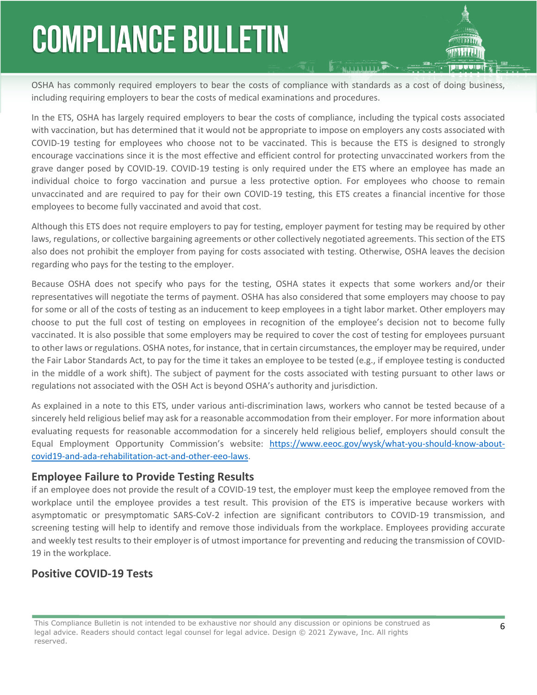OSHA has commonly required employers to bear the costs of compliance with standards as a cost of doing business, including requiring employers to bear the costs of medical examinations and procedures.

**EFAILDING** 

In the ETS, OSHA has largely required employers to bear the costs of compliance, including the typical costs associated with vaccination, but has determined that it would not be appropriate to impose on employers any costs associated with COVID-19 testing for employees who choose not to be vaccinated. This is because the ETS is designed to strongly encourage vaccinations since it is the most effective and efficient control for protecting unvaccinated workers from the grave danger posed by COVID-19. COVID-19 testing is only required under the ETS where an employee has made an individual choice to forgo vaccination and pursue a less protective option. For employees who choose to remain unvaccinated and are required to pay for their own COVID-19 testing, this ETS creates a financial incentive for those employees to become fully vaccinated and avoid that cost.

Although this ETS does not require employers to pay for testing, employer payment for testing may be required by other laws, regulations, or collective bargaining agreements or other collectively negotiated agreements. This section of the ETS also does not prohibit the employer from paying for costs associated with testing. Otherwise, OSHA leaves the decision regarding who pays for the testing to the employer.

Because OSHA does not specify who pays for the testing, OSHA states it expects that some workers and/or their representatives will negotiate the terms of payment. OSHA has also considered that some employers may choose to pay for some or all of the costs of testing as an inducement to keep employees in a tight labor market. Other employers may choose to put the full cost of testing on employees in recognition of the employee's decision not to become fully vaccinated. It is also possible that some employers may be required to cover the cost of testing for employees pursuant to other laws or regulations. OSHA notes, for instance, that in certain circumstances, the employer may be required, under the Fair Labor Standards Act, to pay for the time it takes an employee to be tested (e.g., if employee testing is conducted in the middle of a work shift). The subject of payment for the costs associated with testing pursuant to other laws or regulations not associated with the OSH Act is beyond OSHA's authority and jurisdiction.

As explained in a note to this ETS, under various anti-discrimination laws, workers who cannot be tested because of a sincerely held religious belief may ask for a reasonable accommodation from their employer. For more information about evaluating requests for reasonable accommodation for a sincerely held religious belief, employers should consult the Equal Employment Opportunity Commission's website: [https://www.eeoc.gov/wysk/what-you-should-know-about](https://www.eeoc.gov/wysk/what-you-should-know-about-covid19-and-ada-rehabilitation-act-and-other-eeo-laws)[covid19-and-ada-rehabilitation-act-and-other-eeo-laws](https://www.eeoc.gov/wysk/what-you-should-know-about-covid19-and-ada-rehabilitation-act-and-other-eeo-laws).

#### **Employee Failure to Provide Testing Results**

if an employee does not provide the result of a COVID-19 test, the employer must keep the employee removed from the workplace until the employee provides a test result. This provision of the ETS is imperative because workers with asymptomatic or presymptomatic SARS-CoV-2 infection are significant contributors to COVID-19 transmission, and screening testing will help to identify and remove those individuals from the workplace. Employees providing accurate and weekly test results to their employer is of utmost importance for preventing and reducing the transmission of COVID-19 in the workplace.

#### **Positive COVID-19 Tests**

This Compliance Bulletin is not intended to be exhaustive nor should any discussion or opinions be construed as legal advice. Readers should contact legal counsel for legal advice. Design © 2021 Zywave, Inc. All rights reserved.